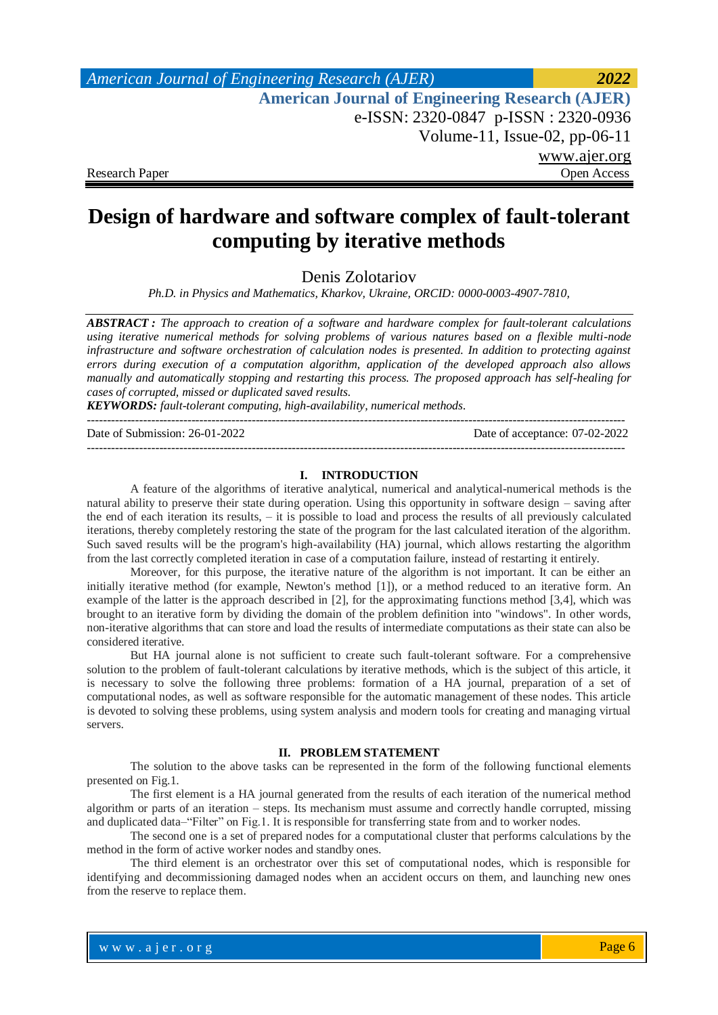*American Journal of Engineering Research (AJER) 2022*  **American Journal of Engineering Research (AJER)** e-ISSN: 2320-0847 p-ISSN : 2320-0936 Volume-11, Issue-02, pp-06-11 www.ajer.org Research Paper Open Access

# **Design of hardware and software complex of fault-tolerant computing by iterative methods**

Denis Zolotariov

*Ph.D. in Physics and Mathematics, Kharkov, Ukraine, ORCID: 0000-0003-4907-7810,* 

*ABSTRACT : The approach to creation of a software and hardware complex for fault-tolerant calculations using iterative numerical methods for solving problems of various natures based on a flexible multi-node infrastructure and software orchestration of calculation nodes is presented. In addition to protecting against errors during execution of a computation algorithm, application of the developed approach also allows manually and automatically stopping and restarting this process. The proposed approach has self-healing for cases of corrupted, missed or duplicated saved results.*

*KEYWORDS: fault-tolerant computing, high-availability, numerical methods.*

Date of Submission: 26-01-2022 Date of acceptance: 07-02-2022

--------------------------------------------------------------------------------------------------------------------------------------

--------------------------------------------------------------------------------------------------------------------------------------

#### **I. INTRODUCTION**

A feature of the algorithms of iterative analytical, numerical and analytical-numerical methods is the natural ability to preserve their state during operation. Using this opportunity in software design – saving after the end of each iteration its results, – it is possible to load and process the results of all previously calculated iterations, thereby completely restoring the state of the program for the last calculated iteration of the algorithm. Such saved results will be the program's high-availability (HA) journal, which allows restarting the algorithm from the last correctly completed iteration in case of a computation failure, instead of restarting it entirely.

Moreover, for this purpose, the iterative nature of the algorithm is not important. It can be either an initially iterative method (for example, Newton's method [1]), or a method reduced to an iterative form. An example of the latter is the approach described in [2], for the approximating functions method [3,4], which was brought to an iterative form by dividing the domain of the problem definition into "windows". In other words, non-iterative algorithms that can store and load the results of intermediate computations as their state can also be considered iterative.

But HA journal alone is not sufficient to create such fault-tolerant software. For a comprehensive solution to the problem of fault-tolerant calculations by iterative methods, which is the subject of this article, it is necessary to solve the following three problems: formation of a HA journal, preparation of a set of computational nodes, as well as software responsible for the automatic management of these nodes. This article is devoted to solving these problems, using system analysis and modern tools for creating and managing virtual servers.

#### **II. PROBLEM STATEMENT**

The solution to the above tasks can be represented in the form of the following functional elements presented on Fig.1.

The first element is a HA journal generated from the results of each iteration of the numerical method algorithm or parts of an iteration – steps. Its mechanism must assume and correctly handle corrupted, missing and duplicated data–"Filter" on Fig.1. It is responsible for transferring state from and to worker nodes.

The second one is a set of prepared nodes for a computational cluster that performs calculations by the method in the form of active worker nodes and standby ones.

The third element is an orchestrator over this set of computational nodes, which is responsible for identifying and decommissioning damaged nodes when an accident occurs on them, and launching new ones from the reserve to replace them.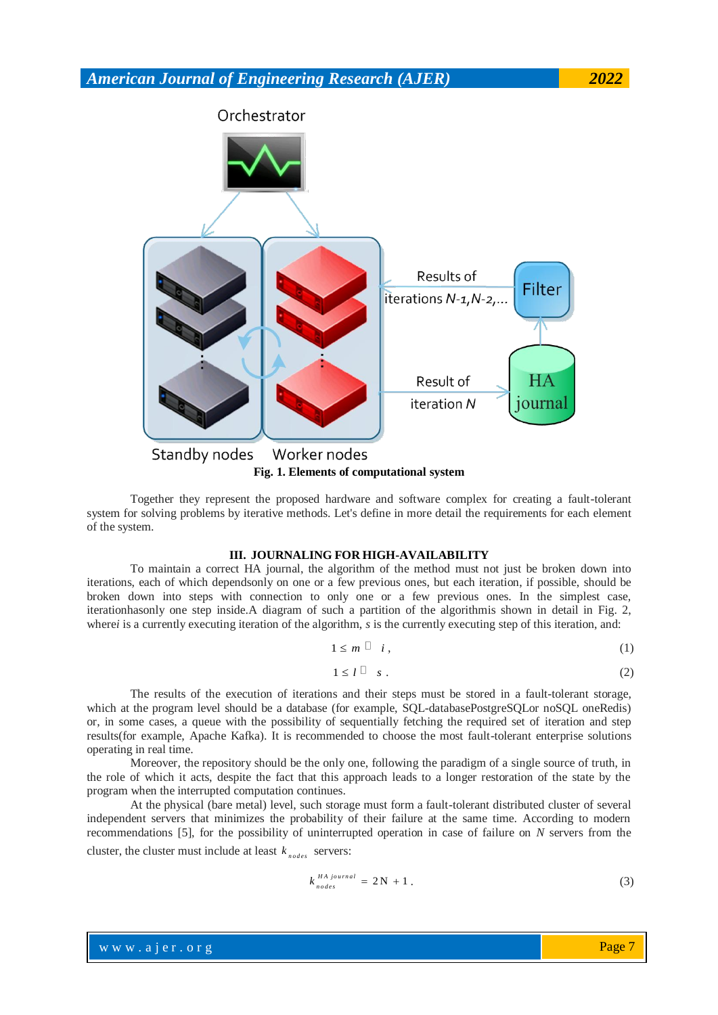

Together they represent the proposed hardware and software complex for creating a fault-tolerant system for solving problems by iterative methods. Let's define in more detail the requirements for each element of the system.

#### **III. JOURNALING FOR HIGH-AVAILABILITY**

To maintain a correct HA journal, the algorithm of the method must not just be broken down into iterations, each of which dependsonly on one or a few previous ones, but each iteration, if possible, should be broken down into steps with connection to only one or a few previous ones. In the simplest case, iterationhasonly one step inside.A diagram of such a partition of the algorithmis shown in detail in Fig. 2, where*i* is a currently executing iteration of the algorithm, *s* is the currently executing step of this iteration, and:

$$
1 \le m \stackrel{\Box}{=} i \,, \tag{1}
$$

$$
1 \leq l^{\Box} \quad s \tag{2}
$$

The results of the execution of iterations and their steps must be stored in a fault-tolerant storage, which at the program level should be a database (for example, SQL-databasePostgreSQLor noSQL oneRedis) or, in some cases, a queue with the possibility of sequentially fetching the required set of iteration and step results(for example, Apache Kafka). It is recommended to choose the most fault-tolerant enterprise solutions operating in real time.

Moreover, the repository should be the only one, following the paradigm of a single source of truth, in the role of which it acts, despite the fact that this approach leads to a longer restoration of the state by the program when the interrupted computation continues.

At the physical (bare metal) level, such storage must form a fault-tolerant distributed cluster of several independent servers that minimizes the probability of their failure at the same time. According to modern recommendations [5], for the possibility of uninterrupted operation in case of failure on *N* servers from the cluster, the cluster must include at least  $k_{nodes}$  servers:

$$
k_{nodes}^{HA\;journal} = 2N + 1. \tag{3}
$$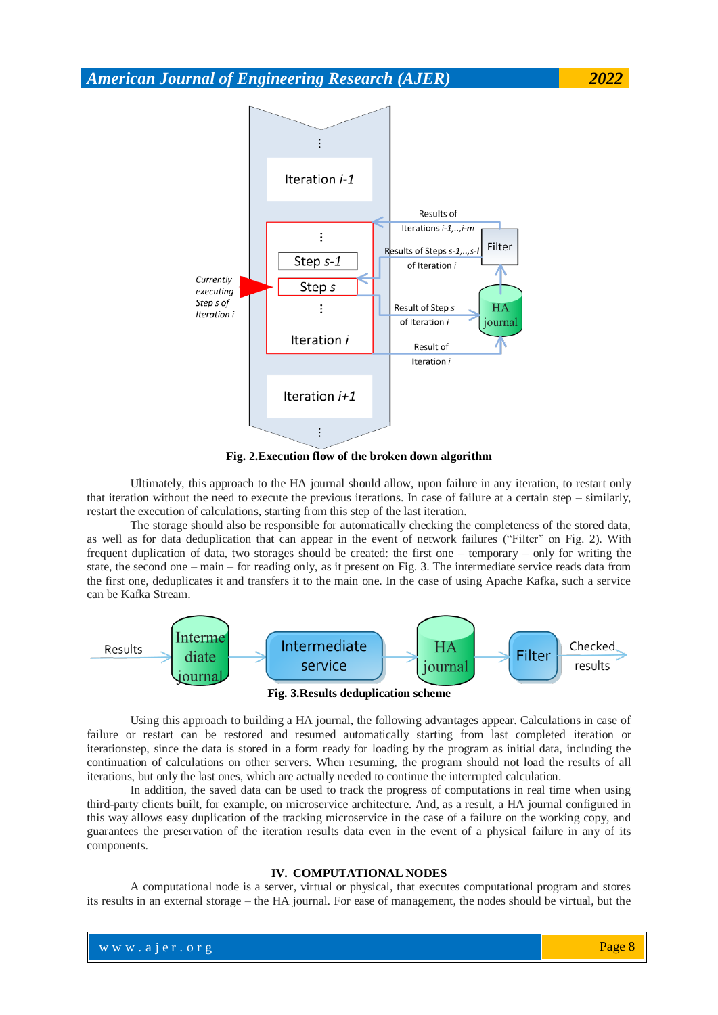

**Fig. 2.Execution flow of the broken down algorithm**

Ultimately, this approach to the HA journal should allow, upon failure in any iteration, to restart only that iteration without the need to execute the previous iterations. In case of failure at a certain step – similarly, restart the execution of calculations, starting from this step of the last iteration.

The storage should also be responsible for automatically checking the completeness of the stored data, as well as for data deduplication that can appear in the event of network failures ("Filter" on Fig. 2). With frequent duplication of data, two storages should be created: the first one – temporary – only for writing the state, the second one – main – for reading only, as it present on Fig. 3. The intermediate service reads data from the first one, deduplicates it and transfers it to the main one. In the case of using Apache Kafka, such a service can be Kafka Stream.



Using this approach to building a HA journal, the following advantages appear. Calculations in case of failure or restart can be restored and resumed automatically starting from last completed iteration or iterationstep, since the data is stored in a form ready for loading by the program as initial data, including the continuation of calculations on other servers. When resuming, the program should not load the results of all iterations, but only the last ones, which are actually needed to continue the interrupted calculation.

In addition, the saved data can be used to track the progress of computations in real time when using third-party clients built, for example, on microservice architecture. And, as a result, a HA journal configured in this way allows easy duplication of the tracking microservice in the case of a failure on the working copy, and guarantees the preservation of the iteration results data even in the event of a physical failure in any of its components.

## **IV. COMPUTATIONAL NODES**

A computational node is a server, virtual or physical, that executes computational program and stores its results in an external storage – the HA journal. For ease of management, the nodes should be virtual, but the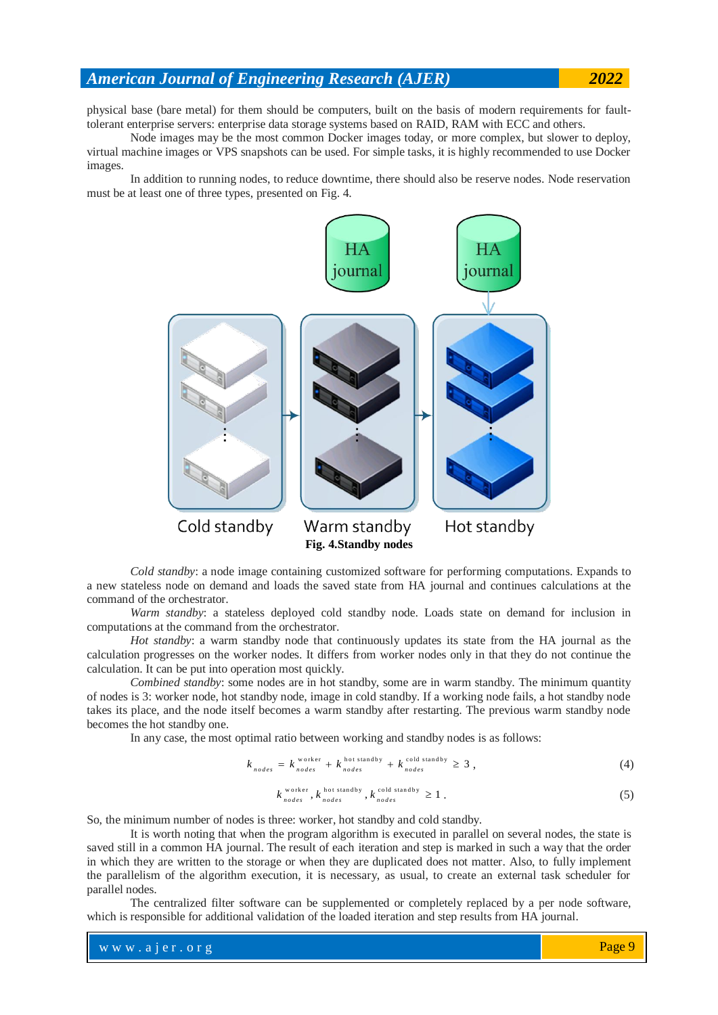physical base (bare metal) for them should be computers, built on the basis of modern requirements for faulttolerant enterprise servers: enterprise data storage systems based on RAID, RAM with ECC and others.

Node images may be the most common Docker images today, or more complex, but slower to deploy, virtual machine images or VPS snapshots can be used. For simple tasks, it is highly recommended to use Docker images.

In addition to running nodes, to reduce downtime, there should also be reserve nodes. Node reservation must be at least one of three types, presented on Fig. 4.



*Cold standby*: a node image containing customized software for performing computations. Expands to a new stateless node on demand and loads the saved state from HA journal and continues calculations at the command of the orchestrator.

*Warm standby*: a stateless deployed cold standby node. Loads state on demand for inclusion in computations at the command from the orchestrator.

*Hot standby*: a warm standby node that continuously updates its state from the HA journal as the calculation progresses on the worker nodes. It differs from worker nodes only in that they do not continue the calculation. It can be put into operation most quickly.

*Combined standby*: some nodes are in hot standby, some are in warm standby. The minimum quantity of nodes is 3: worker node, hot standby node, image in cold standby. If a working node fails, a hot standby node takes its place, and the node itself becomes a warm standby after restarting. The previous warm standby node becomes the hot standby one.

In any case, the most optimal ratio between working and standby nodes is as follows:

$$
k_{nodes} = k_{nodes}^{\text{worker}} + k_{nodes}^{\text{hot standby}} + k_{nodes}^{\text{cold standby}} \ge 3,
$$
 (4)

$$
k_{nodes}^{\text{worker}}, k_{nodes}^{\text{hot standby}}, k_{nodes}^{\text{cold standby}} \ge 1. \tag{5}
$$

So, the minimum number of nodes is three: worker, hot standby and cold standby.

It is worth noting that when the program algorithm is executed in parallel on several nodes, the state is saved still in a common HA journal. The result of each iteration and step is marked in such a way that the order in which they are written to the storage or when they are duplicated does not matter. Also, to fully implement the parallelism of the algorithm execution, it is necessary, as usual, to create an external task scheduler for parallel nodes.

The centralized filter software can be supplemented or completely replaced by a per node software, which is responsible for additional validation of the loaded iteration and step results from HA journal.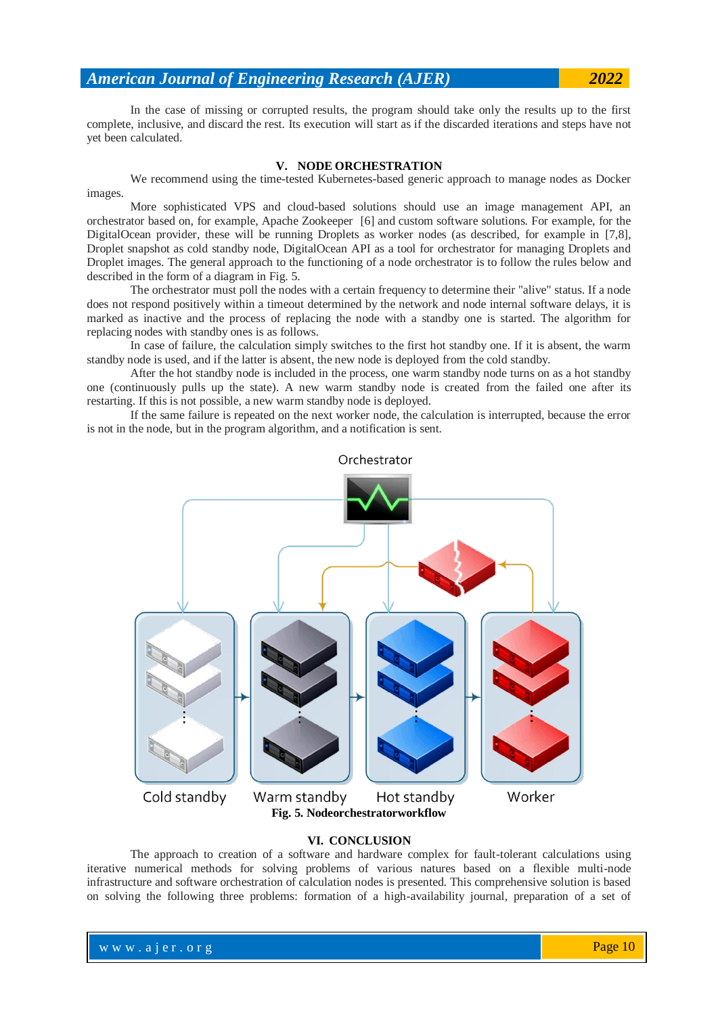In the case of missing or corrupted results, the program should take only the results up to the first complete, inclusive, and discard the rest. Its execution will start as if the discarded iterations and steps have not yet been calculated.

## **V. NODE ORCHESTRATION**

We recommend using the time-tested Kubernetes-based generic approach to manage nodes as Docker images.

More sophisticated VPS and cloud-based solutions should use an image management API, an orchestrator based on, for example, Apache Zookeeper [6] and custom software solutions. For example, for the DigitalOcean provider, these will be running Droplets as worker nodes (as described, for example in [7,8], Droplet snapshot as cold standby node, DigitalOcean API as a tool for orchestrator for managing Droplets and Droplet images. The general approach to the functioning of a node orchestrator is to follow the rules below and described in the form of a diagram in Fig. 5.

The orchestrator must poll the nodes with a certain frequency to determine their "alive" status. If a node does not respond positively within a timeout determined by the network and node internal software delays, it is marked as inactive and the process of replacing the node with a standby one is started. The algorithm for replacing nodes with standby ones is as follows.

In case of failure, the calculation simply switches to the first hot standby one. If it is absent, the warm standby node is used, and if the latter is absent, the new node is deployed from the cold standby.

After the hot standby node is included in the process, one warm standby node turns on as a hot standby one (continuously pulls up the state). A new warm standby node is created from the failed one after its restarting. If this is not possible, a new warm standby node is deployed.

If the same failure is repeated on the next worker node, the calculation is interrupted, because the error is not in the node, but in the program algorithm, and a notification is sent.



## **VI. CONCLUSION**

The approach to creation of a software and hardware complex for fault-tolerant calculations using iterative numerical methods for solving problems of various natures based on a flexible multi-node infrastructure and software orchestration of calculation nodes is presented. This comprehensive solution is based on solving the following three problems: formation of a high-availability journal, preparation of a set of